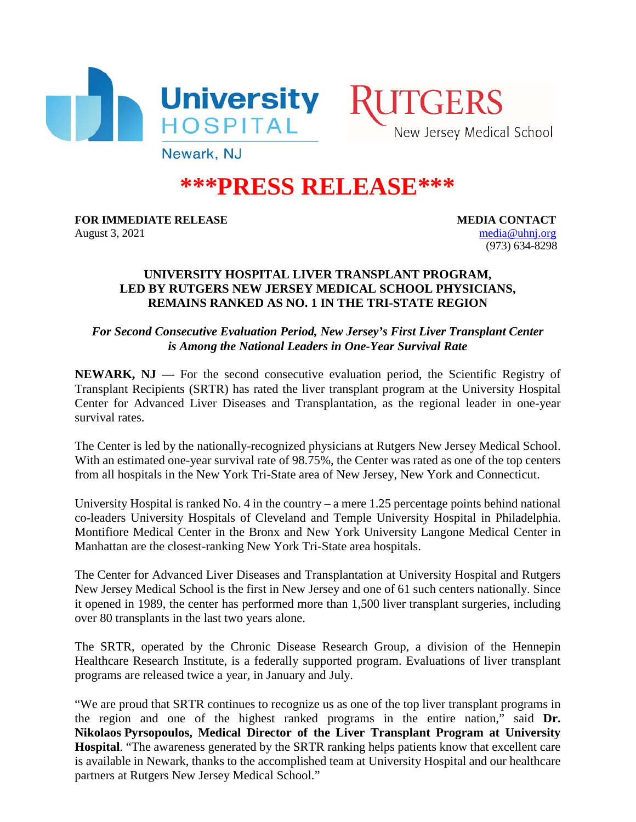



Newark, NJ

## **\*\*\*PRESS RELEASE\*\*\***

**FOR IMMEDIATE RELEASE MEDIA CONTACT** August 3, 2021 [media@uhnj.org](mailto:media@uhnj.org)

(973) 634-8298

## **UNIVERSITY HOSPITAL LIVER TRANSPLANT PROGRAM, LED BY RUTGERS NEW JERSEY MEDICAL SCHOOL PHYSICIANS, REMAINS RANKED AS NO. 1 IN THE TRI-STATE REGION**

*For Second Consecutive Evaluation Period, New Jersey's First Liver Transplant Center is Among the National Leaders in One-Year Survival Rate*

**NEWARK, NJ** — For the second consecutive evaluation period, the Scientific Registry of Transplant Recipients (SRTR) has rated the liver transplant program at the University Hospital Center for Advanced Liver Diseases and Transplantation, as the regional leader in one-year survival rates.

The Center is led by the nationally-recognized physicians at Rutgers New Jersey Medical School. With an estimated one-year survival rate of 98.75%, the Center was rated as one of the top centers from all hospitals in the New York Tri-State area of New Jersey, New York and Connecticut.

University Hospital is ranked No. 4 in the country – a mere 1.25 percentage points behind national co-leaders University Hospitals of Cleveland and Temple University Hospital in Philadelphia. Montifiore Medical Center in the Bronx and New York University Langone Medical Center in Manhattan are the closest-ranking New York Tri-State area hospitals.

The Center for Advanced Liver Diseases and Transplantation at University Hospital and Rutgers New Jersey Medical School is the first in New Jersey and one of 61 such centers nationally. Since it opened in 1989, the center has performed more than 1,500 liver transplant surgeries, including over 80 transplants in the last two years alone.

The SRTR, operated by the Chronic Disease Research Group, a division of the Hennepin Healthcare Research Institute, is a federally supported program. Evaluations of liver transplant programs are released twice a year, in January and July.

"We are proud that SRTR continues to recognize us as one of the top liver transplant programs in the region and one of the highest ranked programs in the entire nation," said **Dr. Nikolaos Pyrsopoulos, Medical Director of the Liver Transplant Program at University Hospital**. "The awareness generated by the SRTR ranking helps patients know that excellent care is available in Newark, thanks to the accomplished team at University Hospital and our healthcare partners at Rutgers New Jersey Medical School."